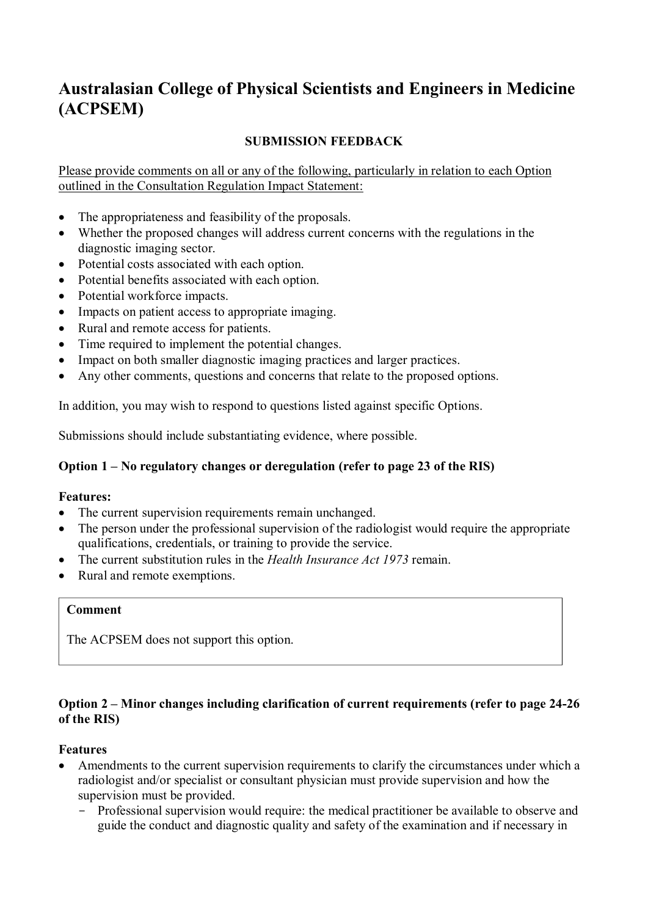# **Australasian College of Physical Scientists and Engineers in Medicine (ACPSEM)**

# **SUBMISSION FEEDBACK**

Please provide comments on all or any of the following, particularly in relation to each Option outlined in the Consultation Regulation Impact Statement:

- The appropriateness and feasibility of the proposals.
- Whether the proposed changes will address current concerns with the regulations in the diagnostic imaging sector.
- Potential costs associated with each option.
- Potential benefits associated with each option.
- Potential workforce impacts.
- Impacts on patient access to appropriate imaging.
- Rural and remote access for patients.
- Time required to implement the potential changes.
- Impact on both smaller diagnostic imaging practices and larger practices.
- Any other comments, questions and concerns that relate to the proposed options.

In addition, you may wish to respond to questions listed against specific Options.

Submissions should include substantiating evidence, where possible.

## **Option 1 – No regulatory changes or deregulation (refer to page 23 of the RIS)**

## **Features:**

- The current supervision requirements remain unchanged.
- The person under the professional supervision of the radiologist would require the appropriate qualifications, credentials, or training to provide the service.
- The current substitution rules in the *Health Insurance Act 1973* remain.
- Rural and remote exemptions.

# **Comment**

The ACPSEM does not support this option.

# **Option 2 – Minor changes including clarification of current requirements (refer to page 24-26 of the RIS)**

## **Features**

- Amendments to the current supervision requirements to clarify the circumstances under which a radiologist and/or specialist or consultant physician must provide supervision and how the supervision must be provided.
	- Professional supervision would require: the medical practitioner be available to observe and guide the conduct and diagnostic quality and safety of the examination and if necessary in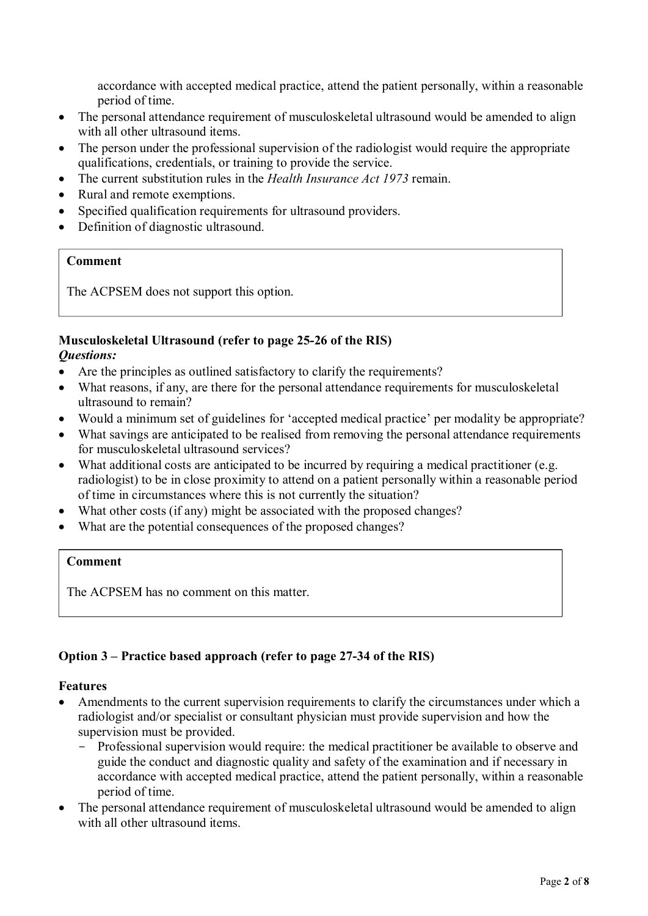accordance with accepted medical practice, attend the patient personally, within a reasonable period of time.

- The personal attendance requirement of musculoskeletal ultrasound would be amended to align with all other ultrasound items.
- The person under the professional supervision of the radiologist would require the appropriate qualifications, credentials, or training to provide the service.
- The current substitution rules in the *Health Insurance Act 1973* remain.
- Rural and remote exemptions.
- Specified qualification requirements for ultrasound providers.
- Definition of diagnostic ultrasound.

## **Comment**

The ACPSEM does not support this option.

#### **Musculoskeletal Ultrasound (refer to page 25-26 of the RIS)**  *Questions:*

- Are the principles as outlined satisfactory to clarify the requirements?
- What reasons, if any, are there for the personal attendance requirements for musculoskeletal ultrasound to remain?
- Would a minimum set of guidelines for 'accepted medical practice' per modality be appropriate?
- What savings are anticipated to be realised from removing the personal attendance requirements for musculoskeletal ultrasound services?
- What additional costs are anticipated to be incurred by requiring a medical practitioner (e.g. radiologist) to be in close proximity to attend on a patient personally within a reasonable period of time in circumstances where this is not currently the situation?
- What other costs (if any) might be associated with the proposed changes?
- What are the potential consequences of the proposed changes?

## **Comment**

The ACPSEM has no comment on this matter.

# **Option 3 – Practice based approach (refer to page 27-34 of the RIS)**

## **Features**

- Amendments to the current supervision requirements to clarify the circumstances under which a radiologist and/or specialist or consultant physician must provide supervision and how the supervision must be provided.
	- Professional supervision would require: the medical practitioner be available to observe and guide the conduct and diagnostic quality and safety of the examination and if necessary in accordance with accepted medical practice, attend the patient personally, within a reasonable period of time.
- The personal attendance requirement of musculoskeletal ultrasound would be amended to align with all other ultrasound items.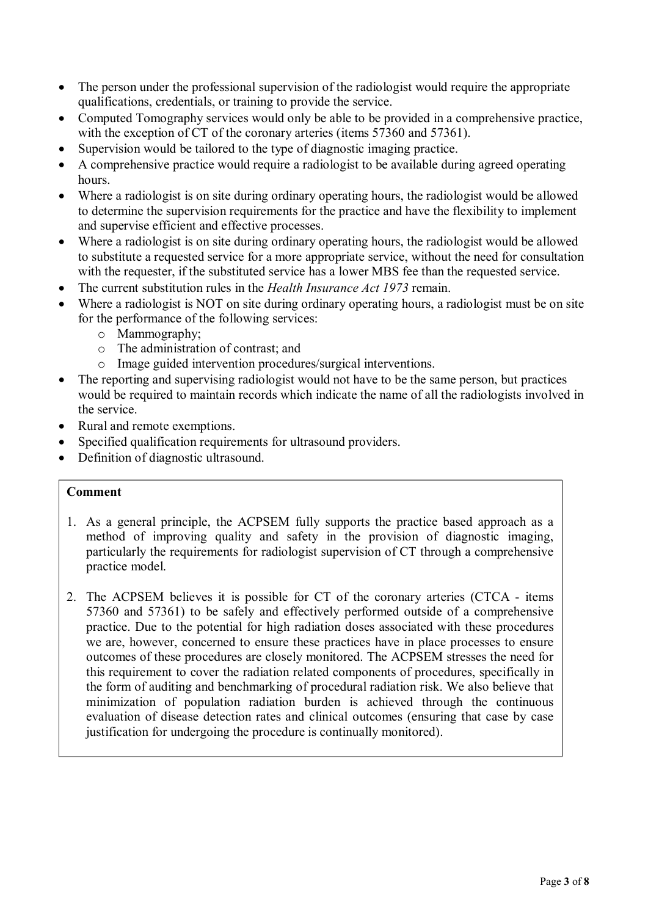- The person under the professional supervision of the radiologist would require the appropriate qualifications, credentials, or training to provide the service.
- Computed Tomography services would only be able to be provided in a comprehensive practice, with the exception of CT of the coronary arteries (items 57360 and 57361).
- Supervision would be tailored to the type of diagnostic imaging practice.
- A comprehensive practice would require a radiologist to be available during agreed operating hours.
- Where a radiologist is on site during ordinary operating hours, the radiologist would be allowed to determine the supervision requirements for the practice and have the flexibility to implement and supervise efficient and effective processes.
- Where a radiologist is on site during ordinary operating hours, the radiologist would be allowed to substitute a requested service for a more appropriate service, without the need for consultation with the requester, if the substituted service has a lower MBS fee than the requested service.
- The current substitution rules in the *Health Insurance Act 1973* remain.
- Where a radiologist is NOT on site during ordinary operating hours, a radiologist must be on site for the performance of the following services:
	- o Mammography;
	- o The administration of contrast; and
	- o Image guided intervention procedures/surgical interventions.
- The reporting and supervising radiologist would not have to be the same person, but practices would be required to maintain records which indicate the name of all the radiologists involved in the service.
- Rural and remote exemptions.
- Specified qualification requirements for ultrasound providers.
- Definition of diagnostic ultrasound.

## **Comment**

- 1. As a general principle, the ACPSEM fully supports the practice based approach as a method of improving quality and safety in the provision of diagnostic imaging, particularly the requirements for radiologist supervision of CT through a comprehensive practice model.
- 2. The ACPSEM believes it is possible for CT of the coronary arteries (CTCA items 57360 and 57361) to be safely and effectively performed outside of a comprehensive practice. Due to the potential for high radiation doses associated with these procedures we are, however, concerned to ensure these practices have in place processes to ensure outcomes of these procedures are closely monitored. The ACPSEM stresses the need for this requirement to cover the radiation related components of procedures, specifically in the form of auditing and benchmarking of procedural radiation risk. We also believe that minimization of population radiation burden is achieved through the continuous evaluation of disease detection rates and clinical outcomes (ensuring that case by case justification for undergoing the procedure is continually monitored).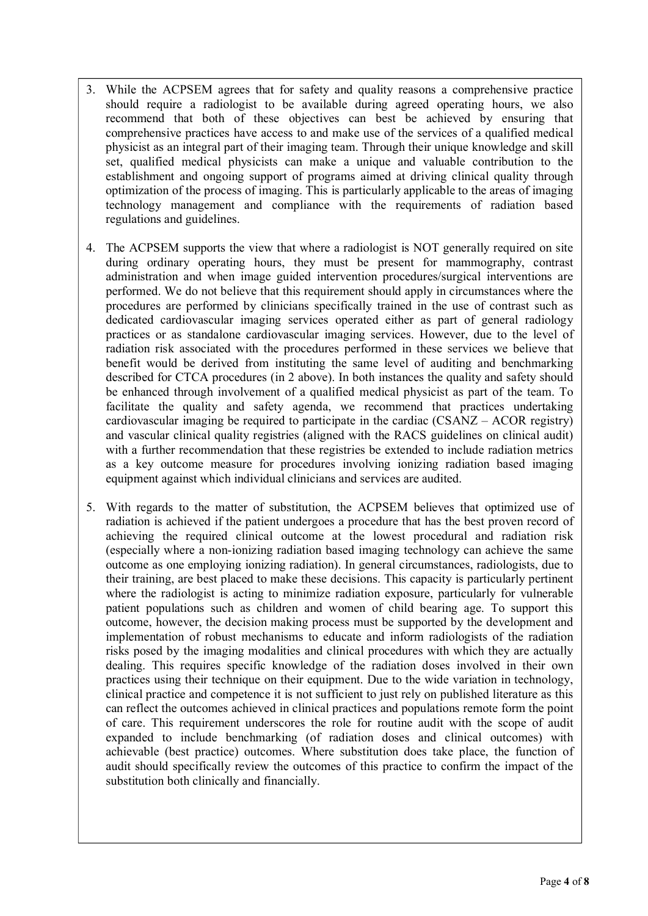- 3. While the ACPSEM agrees that for safety and quality reasons a comprehensive practice should require a radiologist to be available during agreed operating hours, we also recommend that both of these objectives can best be achieved by ensuring that comprehensive practices have access to and make use of the services of a qualified medical physicist as an integral part of their imaging team. Through their unique knowledge and skill set, qualified medical physicists can make a unique and valuable contribution to the establishment and ongoing support of programs aimed at driving clinical quality through optimization of the process of imaging. This is particularly applicable to the areas of imaging technology management and compliance with the requirements of radiation based regulations and guidelines.
- 4. The ACPSEM supports the view that where a radiologist is NOT generally required on site during ordinary operating hours, they must be present for mammography, contrast administration and when image guided intervention procedures/surgical interventions are performed. We do not believe that this requirement should apply in circumstances where the procedures are performed by clinicians specifically trained in the use of contrast such as dedicated cardiovascular imaging services operated either as part of general radiology practices or as standalone cardiovascular imaging services. However, due to the level of radiation risk associated with the procedures performed in these services we believe that benefit would be derived from instituting the same level of auditing and benchmarking described for CTCA procedures (in 2 above). In both instances the quality and safety should be enhanced through involvement of a qualified medical physicist as part of the team. To facilitate the quality and safety agenda, we recommend that practices undertaking cardiovascular imaging be required to participate in the cardiac (CSANZ – ACOR registry) and vascular clinical quality registries (aligned with the RACS guidelines on clinical audit) with a further recommendation that these registries be extended to include radiation metrics as a key outcome measure for procedures involving ionizing radiation based imaging equipment against which individual clinicians and services are audited.
- 5. With regards to the matter of substitution, the ACPSEM believes that optimized use of radiation is achieved if the patient undergoes a procedure that has the best proven record of achieving the required clinical outcome at the lowest procedural and radiation risk (especially where a non-ionizing radiation based imaging technology can achieve the same outcome as one employing ionizing radiation). In general circumstances, radiologists, due to their training, are best placed to make these decisions. This capacity is particularly pertinent where the radiologist is acting to minimize radiation exposure, particularly for vulnerable patient populations such as children and women of child bearing age. To support this outcome, however, the decision making process must be supported by the development and implementation of robust mechanisms to educate and inform radiologists of the radiation risks posed by the imaging modalities and clinical procedures with which they are actually dealing. This requires specific knowledge of the radiation doses involved in their own practices using their technique on their equipment. Due to the wide variation in technology, clinical practice and competence it is not sufficient to just rely on published literature as this can reflect the outcomes achieved in clinical practices and populations remote form the point of care. This requirement underscores the role for routine audit with the scope of audit expanded to include benchmarking (of radiation doses and clinical outcomes) with achievable (best practice) outcomes. Where substitution does take place, the function of audit should specifically review the outcomes of this practice to confirm the impact of the substitution both clinically and financially.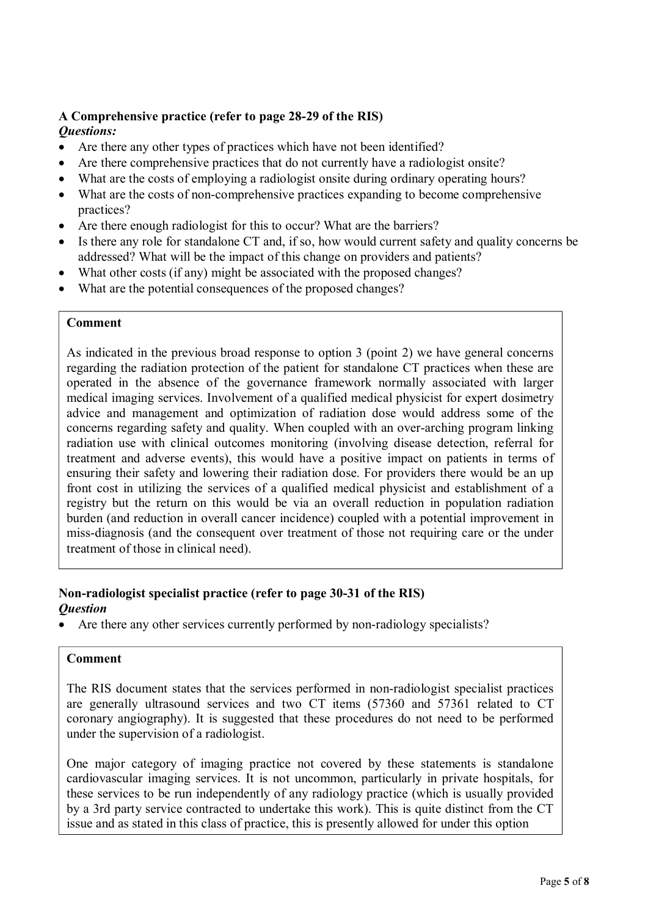#### **A Comprehensive practice (refer to page 28-29 of the RIS)**  *Questions:*

- Are there any other types of practices which have not been identified?
- Are there comprehensive practices that do not currently have a radiologist onsite?
- What are the costs of employing a radiologist onsite during ordinary operating hours?
- What are the costs of non-comprehensive practices expanding to become comprehensive practices?
- Are there enough radiologist for this to occur? What are the barriers?
- Is there any role for standalone CT and, if so, how would current safety and quality concerns be addressed? What will be the impact of this change on providers and patients?
- What other costs (if any) might be associated with the proposed changes?
- What are the potential consequences of the proposed changes?

#### **Comment**

As indicated in the previous broad response to option 3 (point 2) we have general concerns regarding the radiation protection of the patient for standalone CT practices when these are operated in the absence of the governance framework normally associated with larger medical imaging services. Involvement of a qualified medical physicist for expert dosimetry advice and management and optimization of radiation dose would address some of the concerns regarding safety and quality. When coupled with an over-arching program linking radiation use with clinical outcomes monitoring (involving disease detection, referral for treatment and adverse events), this would have a positive impact on patients in terms of ensuring their safety and lowering their radiation dose. For providers there would be an up front cost in utilizing the services of a qualified medical physicist and establishment of a registry but the return on this would be via an overall reduction in population radiation burden (and reduction in overall cancer incidence) coupled with a potential improvement in miss-diagnosis (and the consequent over treatment of those not requiring care or the under treatment of those in clinical need).

#### **Non-radiologist specialist practice (refer to page 30-31 of the RIS)**  *Question*

• Are there any other services currently performed by non-radiology specialists?

#### **Comment**

The RIS document states that the services performed in non-radiologist specialist practices are generally ultrasound services and two CT items (57360 and 57361 related to CT coronary angiography). It is suggested that these procedures do not need to be performed under the supervision of a radiologist.

One major category of imaging practice not covered by these statements is standalone cardiovascular imaging services. It is not uncommon, particularly in private hospitals, for these services to be run independently of any radiology practice (which is usually provided by a 3rd party service contracted to undertake this work). This is quite distinct from the CT issue and as stated in this class of practice, this is presently allowed for under this option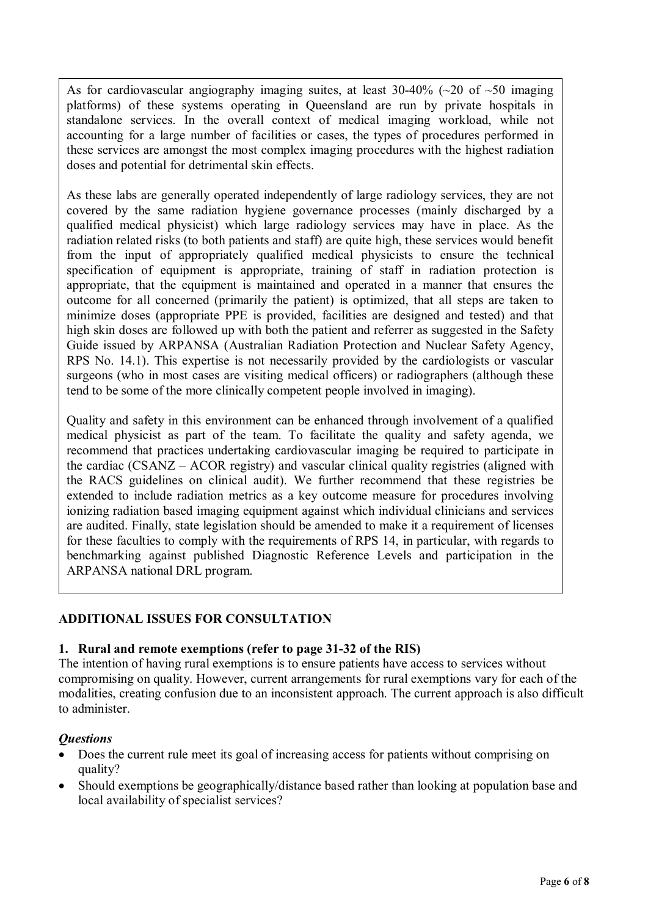As for cardiovascular angiography imaging suites, at least  $30-40\%$  ( $\sim$ 20 of  $\sim$ 50 imaging platforms) of these systems operating in Queensland are run by private hospitals in standalone services. In the overall context of medical imaging workload, while not accounting for a large number of facilities or cases, the types of procedures performed in these services are amongst the most complex imaging procedures with the highest radiation doses and potential for detrimental skin effects.

As these labs are generally operated independently of large radiology services, they are not covered by the same radiation hygiene governance processes (mainly discharged by a qualified medical physicist) which large radiology services may have in place. As the radiation related risks (to both patients and staff) are quite high, these services would benefit from the input of appropriately qualified medical physicists to ensure the technical specification of equipment is appropriate, training of staff in radiation protection is appropriate, that the equipment is maintained and operated in a manner that ensures the outcome for all concerned (primarily the patient) is optimized, that all steps are taken to minimize doses (appropriate PPE is provided, facilities are designed and tested) and that high skin doses are followed up with both the patient and referrer as suggested in the Safety Guide issued by ARPANSA (Australian Radiation Protection and Nuclear Safety Agency, RPS No. 14.1). This expertise is not necessarily provided by the cardiologists or vascular surgeons (who in most cases are visiting medical officers) or radiographers (although these tend to be some of the more clinically competent people involved in imaging).

Quality and safety in this environment can be enhanced through involvement of a qualified medical physicist as part of the team. To facilitate the quality and safety agenda, we recommend that practices undertaking cardiovascular imaging be required to participate in the cardiac (CSANZ – ACOR registry) and vascular clinical quality registries (aligned with the RACS guidelines on clinical audit). We further recommend that these registries be extended to include radiation metrics as a key outcome measure for procedures involving ionizing radiation based imaging equipment against which individual clinicians and services are audited. Finally, state legislation should be amended to make it a requirement of licenses for these faculties to comply with the requirements of RPS 14, in particular, with regards to benchmarking against published Diagnostic Reference Levels and participation in the ARPANSA national DRL program.

# **ADDITIONAL ISSUES FOR CONSULTATION**

## **1. Rural and remote exemptions (refer to page 31-32 of the RIS)**

The intention of having rural exemptions is to ensure patients have access to services without compromising on quality. However, current arrangements for rural exemptions vary for each of the modalities, creating confusion due to an inconsistent approach. The current approach is also difficult to administer.

## *Questions*

- Does the current rule meet its goal of increasing access for patients without comprising on quality?
- Should exemptions be geographically/distance based rather than looking at population base and local availability of specialist services?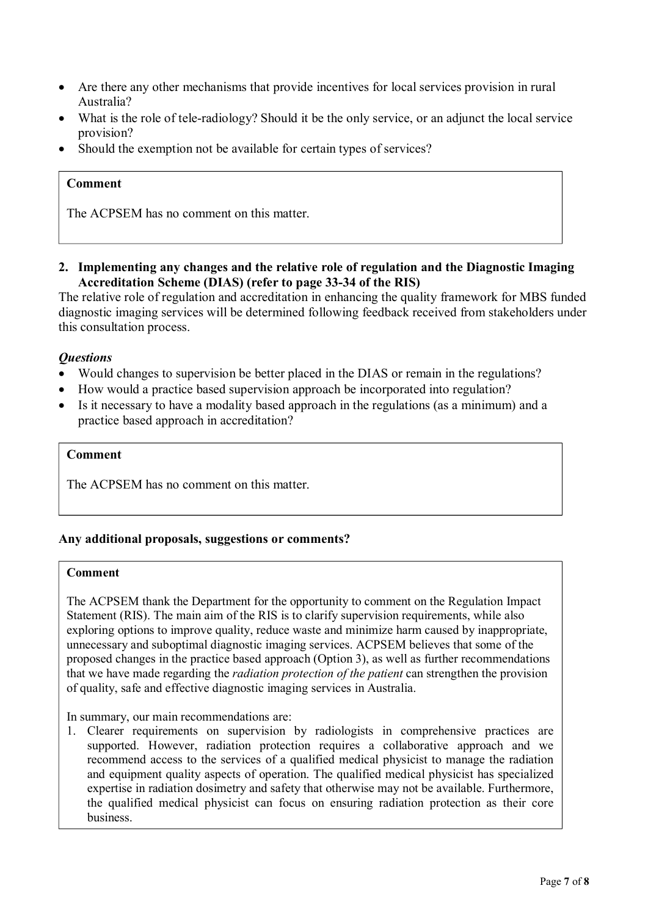- Are there any other mechanisms that provide incentives for local services provision in rural Australia?
- What is the role of tele-radiology? Should it be the only service, or an adjunct the local service provision?
- Should the exemption not be available for certain types of services?

## **Comment**

The ACPSEM has no comment on this matter.

**2. Implementing any changes and the relative role of regulation and the Diagnostic Imaging Accreditation Scheme (DIAS) (refer to page 33-34 of the RIS)** 

The relative role of regulation and accreditation in enhancing the quality framework for MBS funded diagnostic imaging services will be determined following feedback received from stakeholders under this consultation process.

#### *Questions*

- Would changes to supervision be better placed in the DIAS or remain in the regulations?
- How would a practice based supervision approach be incorporated into regulation?
- Is it necessary to have a modality based approach in the regulations (as a minimum) and a practice based approach in accreditation?

#### **Comment**

The ACPSEM has no comment on this matter.

#### **Any additional proposals, suggestions or comments?**

#### **Comment**

The ACPSEM thank the Department for the opportunity to comment on the Regulation Impact Statement (RIS). The main aim of the RIS is to clarify supervision requirements, while also exploring options to improve quality, reduce waste and minimize harm caused by inappropriate, unnecessary and suboptimal diagnostic imaging services. ACPSEM believes that some of the proposed changes in the practice based approach (Option 3), as well as further recommendations that we have made regarding the *radiation protection of the patient* can strengthen the provision of quality, safe and effective diagnostic imaging services in Australia.

In summary, our main recommendations are:

1. Clearer requirements on supervision by radiologists in comprehensive practices are supported. However, radiation protection requires a collaborative approach and we recommend access to the services of a qualified medical physicist to manage the radiation and equipment quality aspects of operation. The qualified medical physicist has specialized expertise in radiation dosimetry and safety that otherwise may not be available. Furthermore, the qualified medical physicist can focus on ensuring radiation protection as their core business.